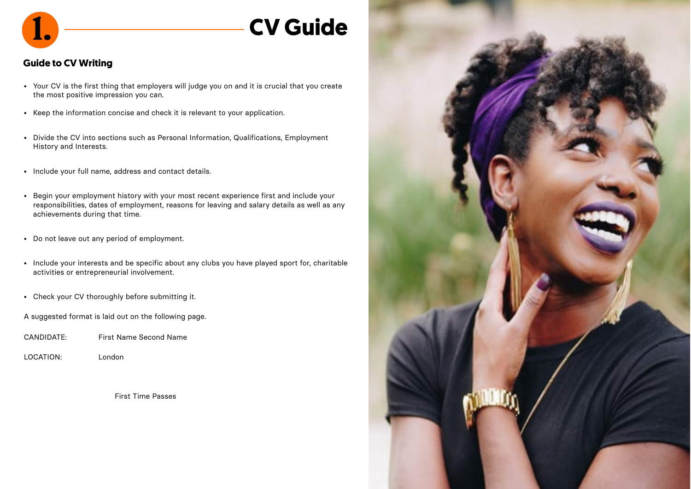

## **CV Guide**

### **Guide to CV Writing**

- Your CV is the first thing that employers will judge you on and it is crucial that you create the most positive impression you can.
- Keep the information concise and check it is relevant to your application.
- Divide the CV into sections such as Personal Information, Qualifications, Employment History and Interests.
- Include your full name, address and contact details.
- Begin your employment history with your most recent experience first and include your responsibilities, dates of employment, reasons for leaving and salary details as well as any achievements during that time.
- Do not leave out any period of employment.
- Include your interests and be specific about any clubs you have played sport for, charitable activities or entrepreneurial involvement.
- Check your CV thoroughly before submitting it.

A suggested format is laid out on the following page.

- CANDIDATE: First Name Second Name
- LOCATION: London

First Time Passes